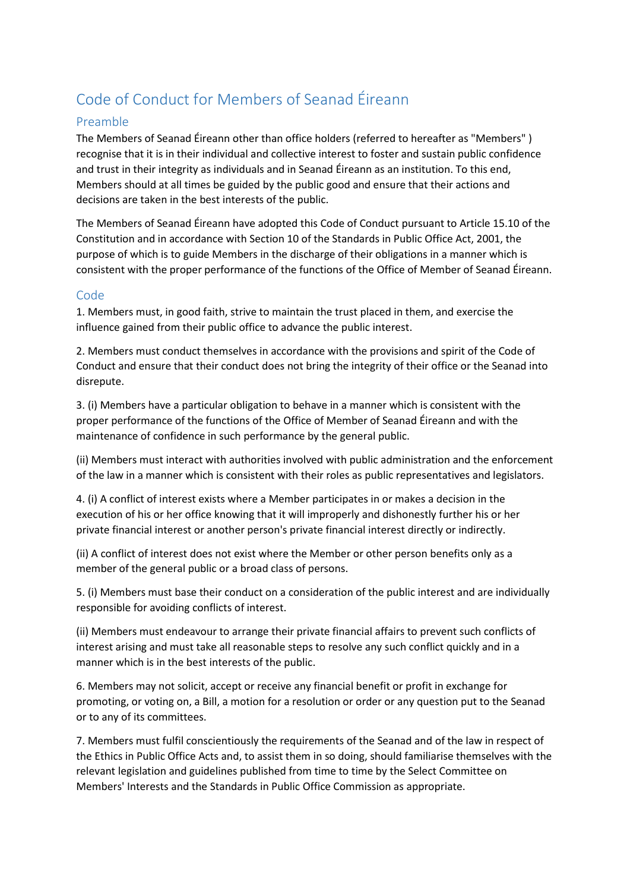## Code of Conduct for Members of Seanad Éireann

## Preamble

The Members of Seanad Éireann other than office holders (referred to hereafter as "Members" ) recognise that it is in their individual and collective interest to foster and sustain public confidence and trust in their integrity as individuals and in Seanad Éireann as an institution. To this end, Members should at all times be guided by the public good and ensure that their actions and decisions are taken in the best interests of the public.

The Members of Seanad Éireann have adopted this Code of Conduct pursuant to Article 15.10 of the Constitution and in accordance with Section 10 of the Standards in Public Office Act, 2001, the purpose of which is to guide Members in the discharge of their obligations in a manner which is consistent with the proper performance of the functions of the Office of Member of Seanad Éireann.

## Code

1. Members must, in good faith, strive to maintain the trust placed in them, and exercise the influence gained from their public office to advance the public interest.

2. Members must conduct themselves in accordance with the provisions and spirit of the Code of Conduct and ensure that their conduct does not bring the integrity of their office or the Seanad into disrepute.

3. (i) Members have a particular obligation to behave in a manner which is consistent with the proper performance of the functions of the Office of Member of Seanad Éireann and with the maintenance of confidence in such performance by the general public.

(ii) Members must interact with authorities involved with public administration and the enforcement of the law in a manner which is consistent with their roles as public representatives and legislators.

4. (i) A conflict of interest exists where a Member participates in or makes a decision in the execution of his or her office knowing that it will improperly and dishonestly further his or her private financial interest or another person's private financial interest directly or indirectly.

(ii) A conflict of interest does not exist where the Member or other person benefits only as a member of the general public or a broad class of persons.

5. (i) Members must base their conduct on a consideration of the public interest and are individually responsible for avoiding conflicts of interest.

(ii) Members must endeavour to arrange their private financial affairs to prevent such conflicts of interest arising and must take all reasonable steps to resolve any such conflict quickly and in a manner which is in the best interests of the public.

6. Members may not solicit, accept or receive any financial benefit or profit in exchange for promoting, or voting on, a Bill, a motion for a resolution or order or any question put to the Seanad or to any of its committees.

7. Members must fulfil conscientiously the requirements of the Seanad and of the law in respect of the Ethics in Public Office Acts and, to assist them in so doing, should familiarise themselves with the relevant legislation and guidelines published from time to time by the Select Committee on Members' Interests and the Standards in Public Office Commission as appropriate.